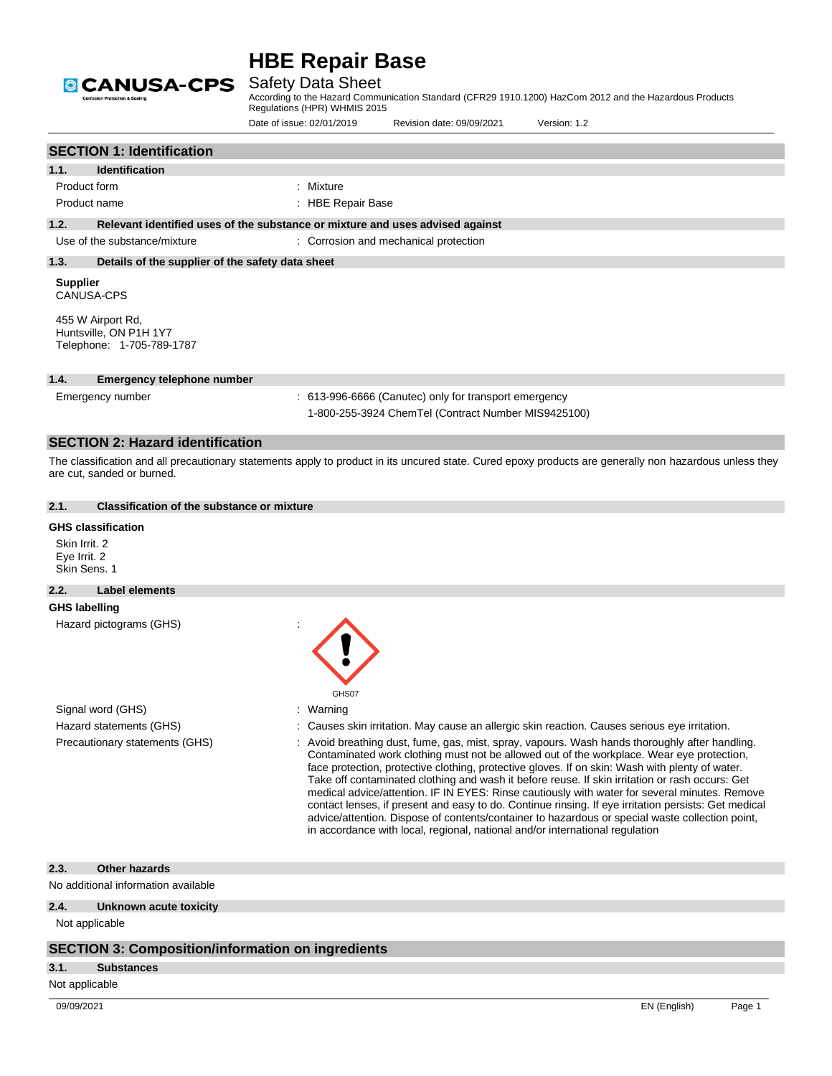

## Safety Data Sheet

According to the Hazard Communication Standard (CFR29 1910.1200) HazCom 2012 and the Hazardous Products Regulations (HPR) WHMIS 2015

> contact lenses, if present and easy to do. Continue rinsing. If eye irritation persists: Get medical advice/attention. Dispose of contents/container to hazardous or special waste collection point,

in accordance with local, regional, national and/or international regulation

|                                               |                                                                               | Date of issue: 02/01/2019 | Revision date: 09/09/2021                                                                                    | Version: 1.2                                                                                                                                                                                                                                                                                                                                                                                                                                                                                     |
|-----------------------------------------------|-------------------------------------------------------------------------------|---------------------------|--------------------------------------------------------------------------------------------------------------|--------------------------------------------------------------------------------------------------------------------------------------------------------------------------------------------------------------------------------------------------------------------------------------------------------------------------------------------------------------------------------------------------------------------------------------------------------------------------------------------------|
|                                               | <b>SECTION 1: Identification</b>                                              |                           |                                                                                                              |                                                                                                                                                                                                                                                                                                                                                                                                                                                                                                  |
| 1.1.                                          | <b>Identification</b>                                                         |                           |                                                                                                              |                                                                                                                                                                                                                                                                                                                                                                                                                                                                                                  |
| Product form                                  |                                                                               | : Mixture                 |                                                                                                              |                                                                                                                                                                                                                                                                                                                                                                                                                                                                                                  |
|                                               | Product name                                                                  | : HBE Repair Base         |                                                                                                              |                                                                                                                                                                                                                                                                                                                                                                                                                                                                                                  |
| 1.2.                                          | Relevant identified uses of the substance or mixture and uses advised against |                           |                                                                                                              |                                                                                                                                                                                                                                                                                                                                                                                                                                                                                                  |
|                                               | Use of the substance/mixture                                                  |                           | : Corrosion and mechanical protection                                                                        |                                                                                                                                                                                                                                                                                                                                                                                                                                                                                                  |
| 1.3.                                          | Details of the supplier of the safety data sheet                              |                           |                                                                                                              |                                                                                                                                                                                                                                                                                                                                                                                                                                                                                                  |
| <b>Supplier</b>                               | <b>CANUSA-CPS</b>                                                             |                           |                                                                                                              |                                                                                                                                                                                                                                                                                                                                                                                                                                                                                                  |
|                                               | 455 W Airport Rd,<br>Huntsville, ON P1H 1Y7<br>Telephone: 1-705-789-1787      |                           |                                                                                                              |                                                                                                                                                                                                                                                                                                                                                                                                                                                                                                  |
| 1.4.                                          | <b>Emergency telephone number</b>                                             |                           |                                                                                                              |                                                                                                                                                                                                                                                                                                                                                                                                                                                                                                  |
|                                               | Emergency number                                                              |                           | : 613-996-6666 (Canutec) only for transport emergency<br>1-800-255-3924 ChemTel (Contract Number MIS9425100) |                                                                                                                                                                                                                                                                                                                                                                                                                                                                                                  |
|                                               | <b>SECTION 2: Hazard identification</b>                                       |                           |                                                                                                              |                                                                                                                                                                                                                                                                                                                                                                                                                                                                                                  |
|                                               | are cut, sanded or burned.                                                    |                           |                                                                                                              | The classification and all precautionary statements apply to product in its uncured state. Cured epoxy products are generally non hazardous unless they                                                                                                                                                                                                                                                                                                                                          |
| 2.1.                                          | <b>Classification of the substance or mixture</b>                             |                           |                                                                                                              |                                                                                                                                                                                                                                                                                                                                                                                                                                                                                                  |
| Skin Irrit, 2<br>Eye Irrit. 2<br>Skin Sens, 1 | <b>GHS classification</b>                                                     |                           |                                                                                                              |                                                                                                                                                                                                                                                                                                                                                                                                                                                                                                  |
| 2.2.                                          | <b>Label elements</b>                                                         |                           |                                                                                                              |                                                                                                                                                                                                                                                                                                                                                                                                                                                                                                  |
| <b>GHS labelling</b>                          |                                                                               |                           |                                                                                                              |                                                                                                                                                                                                                                                                                                                                                                                                                                                                                                  |
|                                               | Hazard pictograms (GHS)                                                       | GHS07                     |                                                                                                              |                                                                                                                                                                                                                                                                                                                                                                                                                                                                                                  |
|                                               | Signal word (GHS)                                                             | Warning                   |                                                                                                              |                                                                                                                                                                                                                                                                                                                                                                                                                                                                                                  |
|                                               | Hazard statements (GHS)                                                       |                           |                                                                                                              | Causes skin irritation. May cause an allergic skin reaction. Causes serious eye irritation.                                                                                                                                                                                                                                                                                                                                                                                                      |
|                                               | Precautionary statements (GHS)                                                |                           |                                                                                                              | Avoid breathing dust, fume, gas, mist, spray, vapours. Wash hands thoroughly after handling.<br>Contaminated work clothing must not be allowed out of the workplace. Wear eye protection,<br>face protection, protective clothing, protective gloves. If on skin: Wash with plenty of water.<br>Take off contaminated clothing and wash it before reuse. If skin irritation or rash occurs: Get<br>medical advice/attention. IF IN EYES: Rinse cautiously with water for several minutes. Remove |

#### **2.3. Other hazards**

No additional information available

#### **2.4. Unknown acute toxicity**

Not applicable

### **SECTION 3: Composition/information on ingredients**

### **3.1. Substances**

Not applicable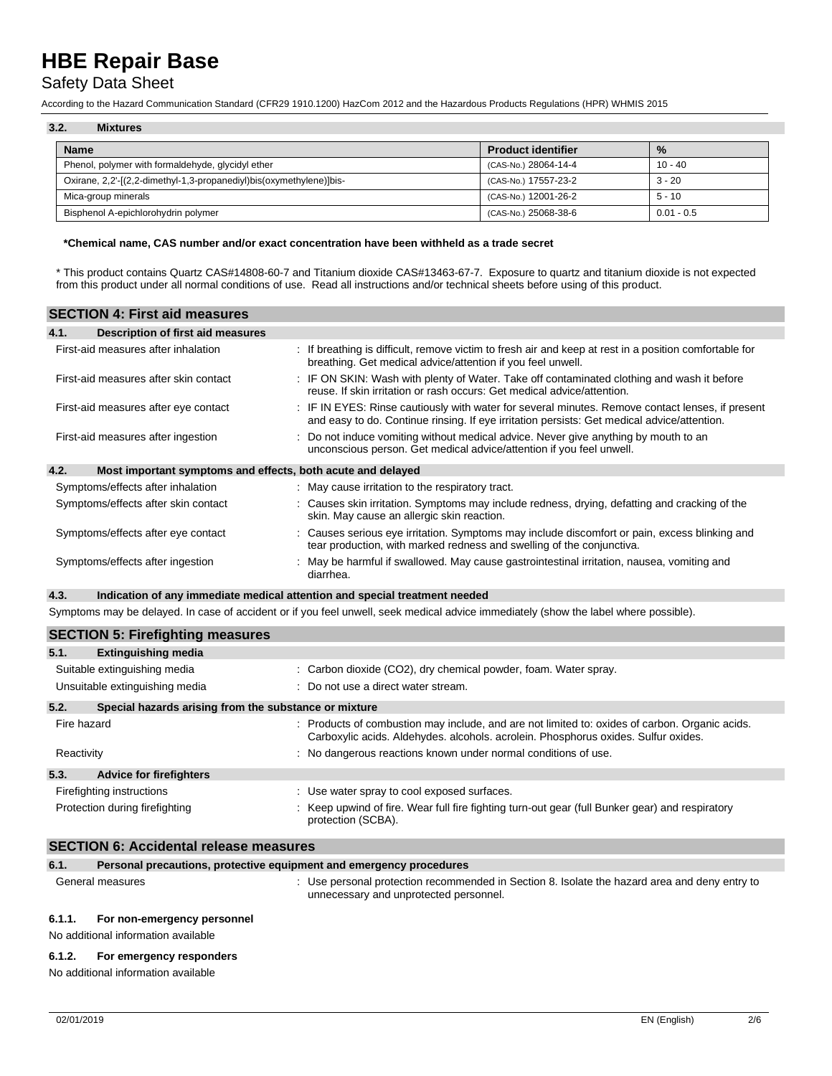## Safety Data Sheet

According to the Hazard Communication Standard (CFR29 1910.1200) HazCom 2012 and the Hazardous Products Regulations (HPR) WHMIS 2015

| 3.2.<br><b>Mixtures</b>                                             |                           |              |  |  |
|---------------------------------------------------------------------|---------------------------|--------------|--|--|
| <b>Name</b>                                                         | <b>Product identifier</b> | $\%$         |  |  |
| Phenol, polymer with formaldehyde, glycidyl ether                   | (CAS-No.) 28064-14-4      | $10 - 40$    |  |  |
| Oxirane, 2,2'-[(2,2-dimethyl-1,3-propanediyl)bis(oxymethylene)]bis- | (CAS-No.) 17557-23-2      | $3 - 20$     |  |  |
| Mica-group minerals                                                 | (CAS-No.) 12001-26-2      | $5 - 10$     |  |  |
| Bisphenol A-epichlorohydrin polymer                                 | (CAS-No.) 25068-38-6      | $0.01 - 0.5$ |  |  |

#### **\*Chemical name, CAS number and/or exact concentration have been withheld as a trade secret**

\* This product contains Quartz CAS#14808-60-7 and Titanium dioxide CAS#13463-67-7. Exposure to quartz and titanium dioxide is not expected from this product under all normal conditions of use. Read all instructions and/or technical sheets before using of this product.

|      | <b>SECTION 4: First aid measures</b>                                       |                                                                                                                                                                                                 |
|------|----------------------------------------------------------------------------|-------------------------------------------------------------------------------------------------------------------------------------------------------------------------------------------------|
| 4.1. | Description of first aid measures                                          |                                                                                                                                                                                                 |
|      | First-aid measures after inhalation                                        | : If breathing is difficult, remove victim to fresh air and keep at rest in a position comfortable for<br>breathing. Get medical advice/attention if you feel unwell.                           |
|      | First-aid measures after skin contact                                      | : IF ON SKIN: Wash with plenty of Water. Take off contaminated clothing and wash it before<br>reuse. If skin irritation or rash occurs: Get medical advice/attention.                           |
|      | First-aid measures after eye contact                                       | : IF IN EYES: Rinse cautiously with water for several minutes. Remove contact lenses, if present<br>and easy to do. Continue rinsing. If eye irritation persists: Get medical advice/attention. |
|      | First-aid measures after ingestion                                         | Do not induce vomiting without medical advice. Never give anything by mouth to an<br>unconscious person. Get medical advice/attention if you feel unwell.                                       |
| 4.2. | Most important symptoms and effects, both acute and delayed                |                                                                                                                                                                                                 |
|      | Symptoms/effects after inhalation                                          | : May cause irritation to the respiratory tract.                                                                                                                                                |
|      | Symptoms/effects after skin contact                                        | : Causes skin irritation. Symptoms may include redness, drying, defatting and cracking of the<br>skin. May cause an allergic skin reaction.                                                     |
|      | Symptoms/effects after eye contact                                         | Causes serious eye irritation. Symptoms may include discomfort or pain, excess blinking and<br>tear production, with marked redness and swelling of the conjunctiva.                            |
|      | Symptoms/effects after ingestion                                           | : May be harmful if swallowed. May cause gastrointestinal irritation, nausea, vomiting and<br>diarrhea.                                                                                         |
| 4.3. | Indication of any immediate medical attention and special treatment needed |                                                                                                                                                                                                 |
|      |                                                                            | Symptoms may be delayed. In case of accident or if you feel unwell, seek medical advice immediately (show the label where possible).                                                            |
|      | <b>SECTION 5: Firefighting measures</b>                                    |                                                                                                                                                                                                 |
| 5.1. | <b>Extinguishing media</b>                                                 |                                                                                                                                                                                                 |

| Suitable extinguishing media                                  | : Carbon dioxide (CO2), dry chemical powder, foam. Water spray.                                                                                                                      |  |  |
|---------------------------------------------------------------|--------------------------------------------------------------------------------------------------------------------------------------------------------------------------------------|--|--|
| Unsuitable extinguishing media                                | : Do not use a direct water stream.                                                                                                                                                  |  |  |
| 5.2.<br>Special hazards arising from the substance or mixture |                                                                                                                                                                                      |  |  |
| Fire hazard                                                   | : Products of combustion may include, and are not limited to: oxides of carbon. Organic acids.<br>Carboxylic acids. Aldehydes. alcohols. acrolein. Phosphorus oxides. Sulfur oxides. |  |  |
| Reactivity                                                    | : No dangerous reactions known under normal conditions of use.                                                                                                                       |  |  |
| 5.3.<br><b>Advice for firefighters</b>                        |                                                                                                                                                                                      |  |  |
| Firefighting instructions                                     | : Use water spray to cool exposed surfaces.                                                                                                                                          |  |  |
| Protection during firefighting                                | : Keep upwind of fire. Wear full fire fighting turn-out gear (full Bunker gear) and respiratory<br>protection (SCBA).                                                                |  |  |

### **SECTION 6: Accidental release measures**

| 6.1.   | Personal precautions, protective equipment and emergency procedures |                                                                                                                                         |
|--------|---------------------------------------------------------------------|-----------------------------------------------------------------------------------------------------------------------------------------|
|        | General measures                                                    | : Use personal protection recommended in Section 8. Isolate the hazard area and deny entry to<br>unnecessary and unprotected personnel. |
| 6.1.1. | For non-emergency personnel                                         |                                                                                                                                         |

No additional information available

#### **6.1.2. For emergency responders**

No additional information available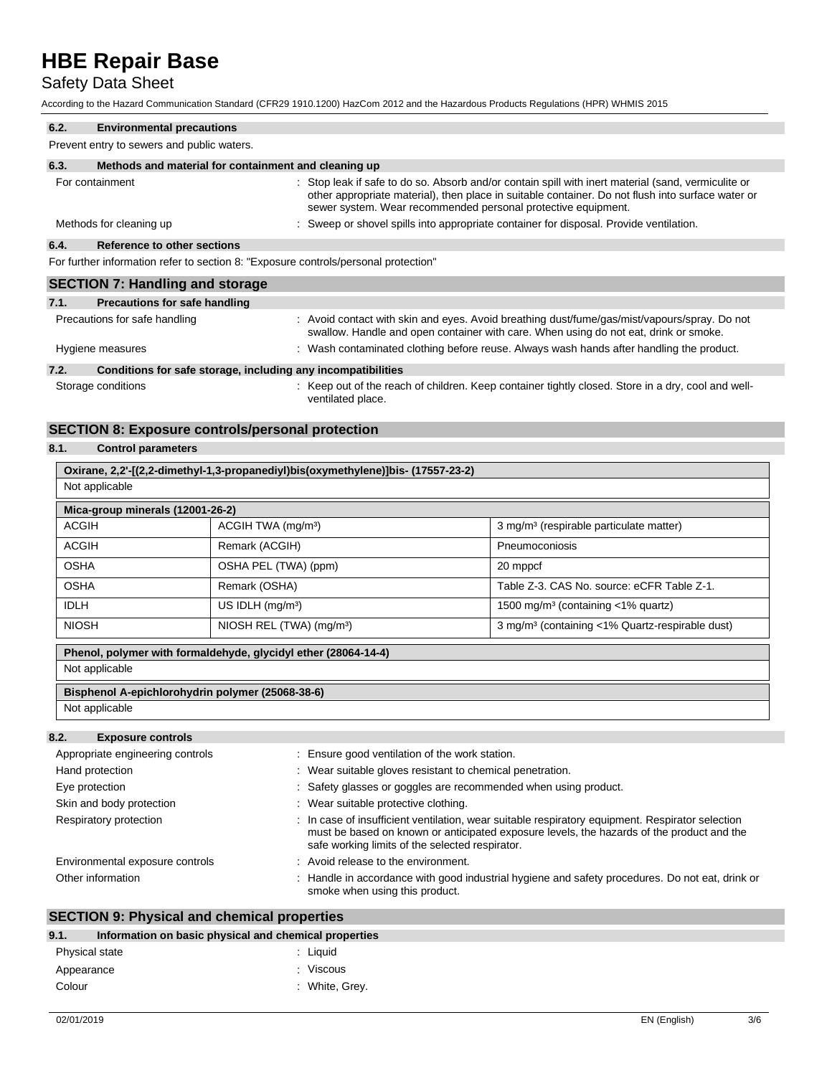## Safety Data Sheet

According to the Hazard Communication Standard (CFR29 1910.1200) HazCom 2012 and the Hazardous Products Regulations (HPR) WHMIS 2015

| 6.2.             | <b>Environmental precautions</b>                                                    |                                                                                                                                                                                                                                                                           |  |
|------------------|-------------------------------------------------------------------------------------|---------------------------------------------------------------------------------------------------------------------------------------------------------------------------------------------------------------------------------------------------------------------------|--|
|                  | Prevent entry to sewers and public waters.                                          |                                                                                                                                                                                                                                                                           |  |
| 6.3.             | Methods and material for containment and cleaning up                                |                                                                                                                                                                                                                                                                           |  |
|                  | For containment                                                                     | : Stop leak if safe to do so. Absorb and/or contain spill with inert material (sand, vermiculite or<br>other appropriate material), then place in suitable container. Do not flush into surface water or<br>sewer system. Wear recommended personal protective equipment. |  |
|                  | Methods for cleaning up                                                             | : Sweep or shovel spills into appropriate container for disposal. Provide ventilation.                                                                                                                                                                                    |  |
| 6.4.             | Reference to other sections                                                         |                                                                                                                                                                                                                                                                           |  |
|                  | For further information refer to section 8: "Exposure controls/personal protection" |                                                                                                                                                                                                                                                                           |  |
|                  | <b>SECTION 7: Handling and storage</b>                                              |                                                                                                                                                                                                                                                                           |  |
| 7.1.             | <b>Precautions for safe handling</b>                                                |                                                                                                                                                                                                                                                                           |  |
|                  | Precautions for safe handling                                                       | : Avoid contact with skin and eyes. Avoid breathing dust/fume/gas/mist/vapours/spray. Do not<br>swallow. Handle and open container with care. When using do not eat, drink or smoke.                                                                                      |  |
| Hygiene measures |                                                                                     | : Wash contaminated clothing before reuse. Always wash hands after handling the product.                                                                                                                                                                                  |  |
| 7.2.             | Conditions for safe storage, including any incompatibilities                        |                                                                                                                                                                                                                                                                           |  |

#### **7.2. Conditions for safe storage, including any incompatibilities**

Storage conditions **Storage conditions** : Keep out of the reach of children. Keep container tightly closed. Store in a dry, cool and wellventilated place.

## **SECTION 8: Exposure controls/personal protection**

## **8.1. Control parameters**

| Oxirane, 2,2'-[(2,2-dimethyl-1,3-propanediyl)bis(oxymethylene)]bis- (17557-23-2) |                                      |                                                             |  |  |  |
|----------------------------------------------------------------------------------|--------------------------------------|-------------------------------------------------------------|--|--|--|
| Not applicable                                                                   |                                      |                                                             |  |  |  |
| Mica-group minerals (12001-26-2)                                                 |                                      |                                                             |  |  |  |
| <b>ACGIH</b>                                                                     | ACGIH TWA (mg/m <sup>3</sup> )       | 3 mg/m <sup>3</sup> (respirable particulate matter)         |  |  |  |
| <b>ACGIH</b>                                                                     | Remark (ACGIH)                       | Pneumoconiosis                                              |  |  |  |
| <b>OSHA</b>                                                                      | OSHA PEL (TWA) (ppm)                 | 20 mppcf                                                    |  |  |  |
| <b>OSHA</b>                                                                      | Remark (OSHA)                        | Table Z-3, CAS No. source: eCFR Table Z-1.                  |  |  |  |
| <b>IDLH</b>                                                                      | US IDLH $(mq/m3)$                    | 1500 mg/m <sup>3</sup> (containing $\lt$ 1% quartz)         |  |  |  |
| <b>NIOSH</b>                                                                     | NIOSH REL (TWA) (mg/m <sup>3</sup> ) | 3 mg/m <sup>3</sup> (containing <1% Quartz-respirable dust) |  |  |  |
| Phenol, polymer with formaldehyde, glycidyl ether (28064-14-4)                   |                                      |                                                             |  |  |  |
| Not applicable                                                                   |                                      |                                                             |  |  |  |
| Bisphenol A-epichlorohydrin polymer (25068-38-6)                                 |                                      |                                                             |  |  |  |
| Not applicable                                                                   |                                      |                                                             |  |  |  |

## **8.2. Exposure controls**

| Appropriate engineering controls | : Ensure good ventilation of the work station.                                                                                                                                                                                                   |
|----------------------------------|--------------------------------------------------------------------------------------------------------------------------------------------------------------------------------------------------------------------------------------------------|
| Hand protection                  | : Wear suitable gloves resistant to chemical penetration.                                                                                                                                                                                        |
| Eye protection                   | : Safety glasses or goggles are recommended when using product.                                                                                                                                                                                  |
| Skin and body protection         | : Wear suitable protective clothing.                                                                                                                                                                                                             |
| Respiratory protection           | : In case of insufficient ventilation, wear suitable respiratory equipment. Respirator selection<br>must be based on known or anticipated exposure levels, the hazards of the product and the<br>safe working limits of the selected respirator. |
| Environmental exposure controls  | : Avoid release to the environment.                                                                                                                                                                                                              |
| Other information                | : Handle in accordance with good industrial hygiene and safety procedures. Do not eat, drink or<br>smoke when using this product.                                                                                                                |

## **SECTION 9: Physical and chemical properties**

| Information on basic physical and chemical properties<br>9.1. |                |
|---------------------------------------------------------------|----------------|
| Physical state                                                | : Liauid       |
| Appearance                                                    | : Viscous      |
| Colour                                                        | : White, Grey. |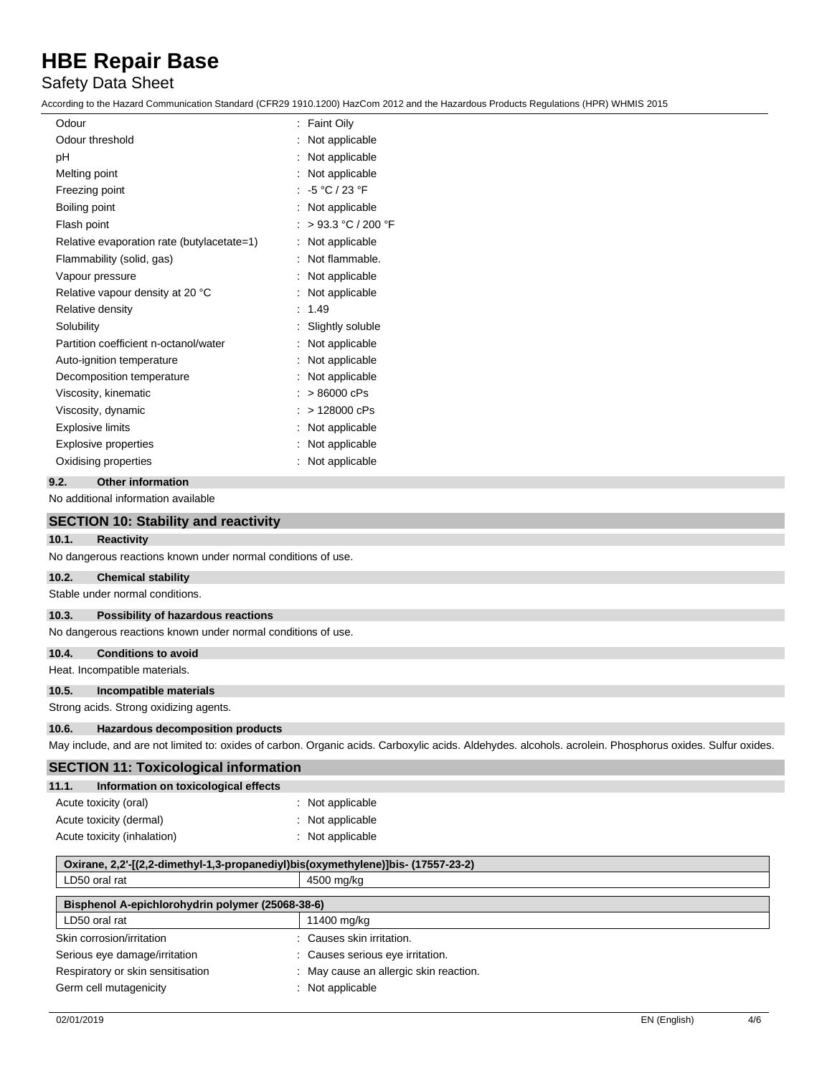## Safety Data Sheet

According to the Hazard Communication Standard (CFR29 1910.1200) HazCom 2012 and the Hazardous Products Regulations (HPR) WHMIS 2015

| Odour                                      | <b>Faint Oily</b><br>÷ |
|--------------------------------------------|------------------------|
| Odour threshold                            | Not applicable         |
| рH                                         | Not applicable         |
| Melting point                              | Not applicable         |
| Freezing point                             | : $-5 °C / 23 °F$      |
| Boiling point                              | Not applicable         |
| Flash point                                | > 93.3 °C / 200 °F     |
| Relative evaporation rate (butylacetate=1) | Not applicable         |
| Flammability (solid, gas)                  | Not flammable.         |
| Vapour pressure                            | Not applicable         |
| Relative vapour density at 20 °C           | Not applicable         |
| Relative density                           | 1.49                   |
| Solubility                                 | Slightly soluble       |
| Partition coefficient n-octanol/water      | Not applicable         |
| Auto-ignition temperature                  | Not applicable         |
| Decomposition temperature                  | Not applicable         |
| Viscosity, kinematic                       | >86000 cPs             |
| Viscosity, dynamic                         | > 128000 cPs           |
| <b>Explosive limits</b>                    | Not applicable         |
| <b>Explosive properties</b>                | Not applicable         |
| Oxidising properties                       | Not applicable         |
|                                            |                        |

### **9.2. Other information**

No additional information available

|       | <b>SECTION 10: Stability and reactivity</b>                  |                                                                                                                                                          |
|-------|--------------------------------------------------------------|----------------------------------------------------------------------------------------------------------------------------------------------------------|
| 10.1. | <b>Reactivity</b>                                            |                                                                                                                                                          |
|       | No dangerous reactions known under normal conditions of use. |                                                                                                                                                          |
| 10.2. | <b>Chemical stability</b>                                    |                                                                                                                                                          |
|       | Stable under normal conditions.                              |                                                                                                                                                          |
| 10.3. | Possibility of hazardous reactions                           |                                                                                                                                                          |
|       | No dangerous reactions known under normal conditions of use. |                                                                                                                                                          |
| 10.4. | <b>Conditions to avoid</b>                                   |                                                                                                                                                          |
|       | Heat. Incompatible materials.                                |                                                                                                                                                          |
| 10.5. | Incompatible materials                                       |                                                                                                                                                          |
|       | Strong acids. Strong oxidizing agents.                       |                                                                                                                                                          |
| 10.6. | <b>Hazardous decomposition products</b>                      |                                                                                                                                                          |
|       |                                                              | May include, and are not limited to: oxides of carbon. Organic acids. Carboxylic acids. Aldehydes. alcohols. acrolein. Phosphorus oxides. Sulfur oxides. |
|       | <b>SECTION 11: Toxicological information</b>                 |                                                                                                                                                          |
| 11.1. | Information on toxicological effects                         |                                                                                                                                                          |
|       | Acute toxicity (oral)                                        | : Not applicable                                                                                                                                         |
|       | Acute toxicity (dermal)                                      | : Not applicable                                                                                                                                         |
|       | Acute toxicity (inhalation)                                  | : Not applicable                                                                                                                                         |

| Oxirane, 2,2'-[(2,2-dimethyl-1,3-propanediyl)bis(oxymethylene)]bis- (17557-23-2) |                                        |  |
|----------------------------------------------------------------------------------|----------------------------------------|--|
| LD50 oral rat                                                                    | 4500 mg/kg                             |  |
| Bisphenol A-epichlorohydrin polymer (25068-38-6)                                 |                                        |  |
| LD50 oral rat                                                                    | 11400 mg/kg                            |  |
| Skin corrosion/irritation                                                        | : Causes skin irritation.              |  |
| Serious eye damage/irritation                                                    | : Causes serious eye irritation.       |  |
| Respiratory or skin sensitisation                                                | : May cause an allergic skin reaction. |  |
| Germ cell mutagenicity                                                           | : Not applicable                       |  |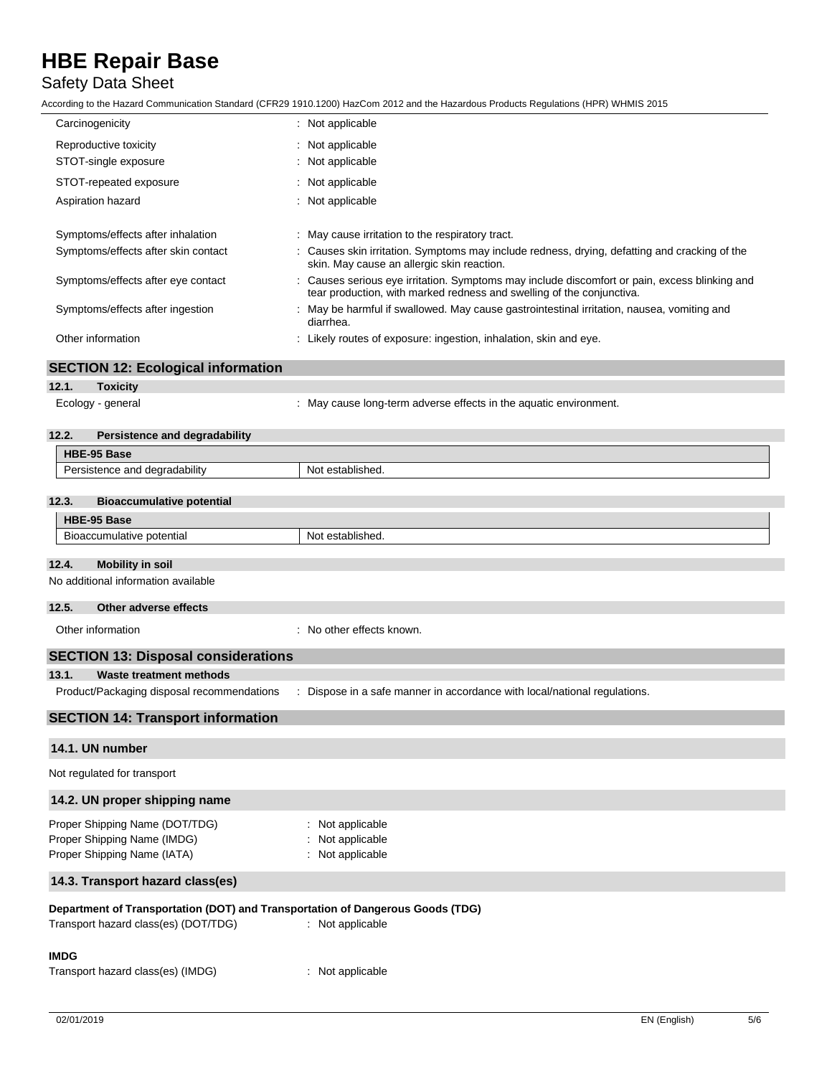## Safety Data Sheet

|                                                                                              | ccording to the Hazard Communication Standard (CFR29 1910.1200) HazCom 2012 and the Hazardous Products Regulations (HPR) WHMIS 2015                                                                                                                                           |  |  |
|----------------------------------------------------------------------------------------------|-------------------------------------------------------------------------------------------------------------------------------------------------------------------------------------------------------------------------------------------------------------------------------|--|--|
| Carcinogenicity                                                                              | : Not applicable                                                                                                                                                                                                                                                              |  |  |
| Reproductive toxicity                                                                        | : Not applicable                                                                                                                                                                                                                                                              |  |  |
| STOT-single exposure                                                                         | : Not applicable                                                                                                                                                                                                                                                              |  |  |
| STOT-repeated exposure                                                                       | Not applicable                                                                                                                                                                                                                                                                |  |  |
| Aspiration hazard                                                                            | Not applicable                                                                                                                                                                                                                                                                |  |  |
|                                                                                              |                                                                                                                                                                                                                                                                               |  |  |
| Symptoms/effects after inhalation                                                            | : May cause irritation to the respiratory tract.                                                                                                                                                                                                                              |  |  |
| Symptoms/effects after skin contact                                                          | Causes skin irritation. Symptoms may include redness, drying, defatting and cracking of the<br>skin. May cause an allergic skin reaction.                                                                                                                                     |  |  |
| Symptoms/effects after eye contact                                                           | Causes serious eye irritation. Symptoms may include discomfort or pain, excess blinking and<br>tear production, with marked redness and swelling of the conjunctiva.<br>May be harmful if swallowed. May cause gastrointestinal irritation, nausea, vomiting and<br>diarrhea. |  |  |
| Symptoms/effects after ingestion                                                             |                                                                                                                                                                                                                                                                               |  |  |
| Other information                                                                            | : Likely routes of exposure: ingestion, inhalation, skin and eye.                                                                                                                                                                                                             |  |  |
| <b>SECTION 12: Ecological information</b>                                                    |                                                                                                                                                                                                                                                                               |  |  |
| 12.1.<br><b>Toxicity</b>                                                                     |                                                                                                                                                                                                                                                                               |  |  |
| Ecology - general                                                                            | : May cause long-term adverse effects in the aquatic environment.                                                                                                                                                                                                             |  |  |
| 12.2.<br><b>Persistence and degradability</b>                                                |                                                                                                                                                                                                                                                                               |  |  |
| HBE-95 Base                                                                                  |                                                                                                                                                                                                                                                                               |  |  |
| Persistence and degradability                                                                | Not established.                                                                                                                                                                                                                                                              |  |  |
|                                                                                              |                                                                                                                                                                                                                                                                               |  |  |
| 12.3.<br><b>Bioaccumulative potential</b>                                                    |                                                                                                                                                                                                                                                                               |  |  |
| HBE-95 Base                                                                                  |                                                                                                                                                                                                                                                                               |  |  |
| Bioaccumulative potential                                                                    | Not established.                                                                                                                                                                                                                                                              |  |  |
| 12.4.<br><b>Mobility in soil</b>                                                             |                                                                                                                                                                                                                                                                               |  |  |
| No additional information available                                                          |                                                                                                                                                                                                                                                                               |  |  |
| 12.5.<br>Other adverse effects                                                               |                                                                                                                                                                                                                                                                               |  |  |
| Other information                                                                            | : No other effects known.                                                                                                                                                                                                                                                     |  |  |
| <b>SECTION 13: Disposal considerations</b>                                                   |                                                                                                                                                                                                                                                                               |  |  |
| <b>Waste treatment methods</b><br>13.1.                                                      |                                                                                                                                                                                                                                                                               |  |  |
| Product/Packaging disposal recommendations                                                   | : Dispose in a safe manner in accordance with local/national regulations.                                                                                                                                                                                                     |  |  |
| <b>SECTION 14: Transport information</b>                                                     |                                                                                                                                                                                                                                                                               |  |  |
| 14.1. UN number                                                                              |                                                                                                                                                                                                                                                                               |  |  |
| Not regulated for transport                                                                  |                                                                                                                                                                                                                                                                               |  |  |
| 14.2. UN proper shipping name                                                                |                                                                                                                                                                                                                                                                               |  |  |
| Proper Shipping Name (DOT/TDG)<br>Proper Shipping Name (IMDG)<br>Proper Shipping Name (IATA) | Not applicable<br>Not applicable<br>: Not applicable                                                                                                                                                                                                                          |  |  |

## **14.3. Transport hazard class(es)**

## **Department of Transportation (DOT) and Transportation of Dangerous Goods (TDG)**

| Transport hazard class(es) (DOT/TDG) | : Not applicable |
|--------------------------------------|------------------|
| <b>IMDG</b>                          |                  |